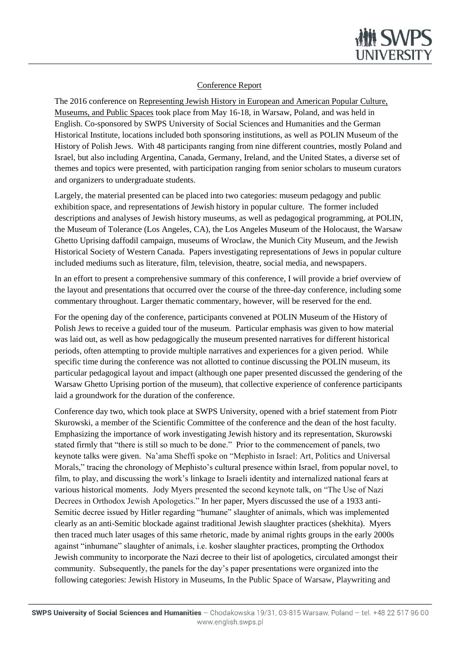

## Conference Report

The 2016 conference on Representing Jewish History in European and American Popular Culture, Museums, and Public Spaces took place from May 16-18, in Warsaw, Poland, and was held in English. Co-sponsored by SWPS University of Social Sciences and Humanities and the German Historical Institute, locations included both sponsoring institutions, as well as POLIN Museum of the History of Polish Jews. With 48 participants ranging from nine different countries, mostly Poland and Israel, but also including Argentina, Canada, Germany, Ireland, and the United States, a diverse set of themes and topics were presented, with participation ranging from senior scholars to museum curators and organizers to undergraduate students.

Largely, the material presented can be placed into two categories: museum pedagogy and public exhibition space, and representations of Jewish history in popular culture. The former included descriptions and analyses of Jewish history museums, as well as pedagogical programming, at POLIN, the Museum of Tolerance (Los Angeles, CA), the Los Angeles Museum of the Holocaust, the Warsaw Ghetto Uprising daffodil campaign, museums of Wroclaw, the Munich City Museum, and the Jewish Historical Society of Western Canada. Papers investigating representations of Jews in popular culture included mediums such as literature, film, television, theatre, social media, and newspapers.

In an effort to present a comprehensive summary of this conference, I will provide a brief overview of the layout and presentations that occurred over the course of the three-day conference, including some commentary throughout. Larger thematic commentary, however, will be reserved for the end.

For the opening day of the conference, participants convened at POLIN Museum of the History of Polish Jews to receive a guided tour of the museum. Particular emphasis was given to how material was laid out, as well as how pedagogically the museum presented narratives for different historical periods, often attempting to provide multiple narratives and experiences for a given period. While specific time during the conference was not allotted to continue discussing the POLIN museum, its particular pedagogical layout and impact (although one paper presented discussed the gendering of the Warsaw Ghetto Uprising portion of the museum), that collective experience of conference participants laid a groundwork for the duration of the conference.

Conference day two, which took place at SWPS University, opened with a brief statement from Piotr Skurowski, a member of the Scientific Committee of the conference and the dean of the host faculty. Emphasizing the importance of work investigating Jewish history and its representation, Skurowski stated firmly that "there is still so much to be done." Prior to the commencement of panels, two keynote talks were given. Na'ama Sheffi spoke on "Mephisto in Israel: Art, Politics and Universal Morals," tracing the chronology of Mephisto's cultural presence within Israel, from popular novel, to film, to play, and discussing the work's linkage to Israeli identity and internalized national fears at various historical moments. Jody Myers presented the second keynote talk, on "The Use of Nazi Decrees in Orthodox Jewish Apologetics." In her paper, Myers discussed the use of a 1933 anti-Semitic decree issued by Hitler regarding "humane" slaughter of animals, which was implemented clearly as an anti-Semitic blockade against traditional Jewish slaughter practices (shekhita). Myers then traced much later usages of this same rhetoric, made by animal rights groups in the early 2000s against "inhumane" slaughter of animals, i.e. kosher slaughter practices, prompting the Orthodox Jewish community to incorporate the Nazi decree to their list of apologetics, circulated amongst their community. Subsequently, the panels for the day's paper presentations were organized into the following categories: Jewish History in Museums, In the Public Space of Warsaw, Playwriting and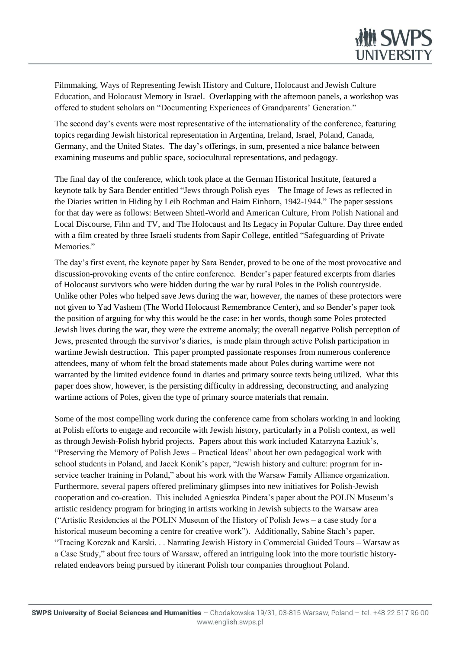

Filmmaking, Ways of Representing Jewish History and Culture, Holocaust and Jewish Culture Education, and Holocaust Memory in Israel. Overlapping with the afternoon panels, a workshop was offered to student scholars on "Documenting Experiences of Grandparents' Generation."

The second day's events were most representative of the internationality of the conference, featuring topics regarding Jewish historical representation in Argentina, Ireland, Israel, Poland, Canada, Germany, and the United States. The day's offerings, in sum, presented a nice balance between examining museums and public space, sociocultural representations, and pedagogy.

The final day of the conference, which took place at the German Historical Institute, featured a keynote talk by Sara Bender entitled "Jews through Polish eyes – The Image of Jews as reflected in the Diaries written in Hiding by Leib Rochman and Haim Einhorn, 1942-1944." The paper sessions for that day were as follows: Between Shtetl-World and American Culture, From Polish National and Local Discourse, Film and TV, and The Holocaust and Its Legacy in Popular Culture. Day three ended with a film created by three Israeli students from Sapir College, entitled "Safeguarding of Private Memories."

The day's first event, the keynote paper by Sara Bender, proved to be one of the most provocative and discussion-provoking events of the entire conference. Bender's paper featured excerpts from diaries of Holocaust survivors who were hidden during the war by rural Poles in the Polish countryside. Unlike other Poles who helped save Jews during the war, however, the names of these protectors were not given to Yad Vashem (The World Holocaust Remembrance Center), and so Bender's paper took the position of arguing for why this would be the case: in her words, though some Poles protected Jewish lives during the war, they were the extreme anomaly; the overall negative Polish perception of Jews, presented through the survivor's diaries, is made plain through active Polish participation in wartime Jewish destruction. This paper prompted passionate responses from numerous conference attendees, many of whom felt the broad statements made about Poles during wartime were not warranted by the limited evidence found in diaries and primary source texts being utilized. What this paper does show, however, is the persisting difficulty in addressing, deconstructing, and analyzing wartime actions of Poles, given the type of primary source materials that remain.

Some of the most compelling work during the conference came from scholars working in and looking at Polish efforts to engage and reconcile with Jewish history, particularly in a Polish context, as well as through Jewish-Polish hybrid projects. Papers about this work included Katarzyna Łaziuk's, "Preserving the Memory of Polish Jews – Practical Ideas" about her own pedagogical work with school students in Poland, and Jacek Konik's paper, "Jewish history and culture: program for inservice teacher training in Poland," about his work with the Warsaw Family Alliance organization. Furthermore, several papers offered preliminary glimpses into new initiatives for Polish-Jewish cooperation and co-creation. This included Agnieszka Pindera's paper about the POLIN Museum's artistic residency program for bringing in artists working in Jewish subjects to the Warsaw area ("Artistic Residencies at the POLIN Museum of the History of Polish Jews – a case study for a historical museum becoming a centre for creative work"). Additionally, Sabine Stach's paper, "Tracing Korczak and Karski. . . Narrating Jewish History in Commercial Guided Tours – Warsaw as a Case Study," about free tours of Warsaw, offered an intriguing look into the more touristic historyrelated endeavors being pursued by itinerant Polish tour companies throughout Poland.